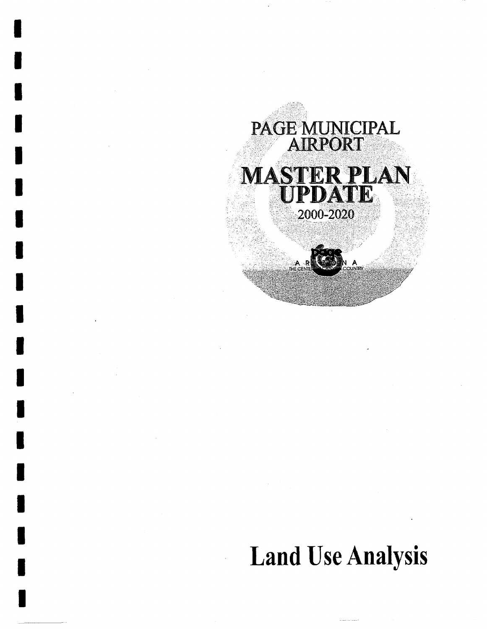

I

I

I

I

I

I

I

I

I

I

I

I

I

i

I

I

I

I

I

# Land Use Analysis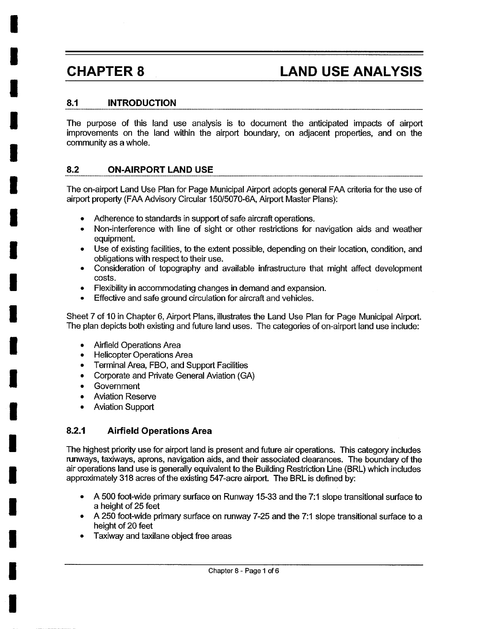**I** 

**I** 

**I** 

**I** 

**I** 

**I** 

**I** 

**I** 

**I** 

**I** 

**I** 

**I** 

**I** 

**I** 

**I** 

**I** 

**I** 

**i** 

**I** 

## **CHAPTER 8 LAND USE ANALYSIS**

#### **8.1 INTRODUCTION**

The purpose of this land use analysis is to document the anticipated impacts of airport improvements on the land within the airport boundary, on adjacent properties, and on the community as a whole.

#### **8.2 ON-AIRPORT LAND USE**

The on-airport Land Use Plan for Page Municipal Airport adopts general FAA criteria for the use of airport property (FAA Advisory Circular 150/5070-6A, Airport Master Plans):

- Adherence to standards in support of safe aircraft operations.
- Non-interference with line of sight or other restrictions for navigation aids and weather equipment.
- Use of existing facilities, to the extent possible, depending on their location, condition, and obligations with respect to their use.
- Consideration of topography and available infrastructure that might affect development costs.
- Flexibility in accommodating changes in demand and expansion.
- Effective and safe ground circulation for aircraft and vehicles.

Sheet 7 of 10 in Chapter 6, Airport Plans, illustrates the Land Use Plan for Page Municipal Airport. The plan depicts both existing and future land uses. The categories of on-airport land use include:

- Airfield Operations Area
- Helicopter Operations Area
- Terminal Area, FBO, and Support Facilities
- Corporate and Private General Aviation (GA)
- **Government**
- Aviation Reserve
- Aviation Support

#### **8.2.1 Airfield Operations Area**

The highest priority use for airport land is present and future air operations. This category includes runways, taxiways, aprons, navigation aids, and their associated clearances. The boundary of the air operations land use is generally equivalent to the Building Restriction Line (BRL) which includes approximately 318 acres of the existing 547-acre airport. The BRL is defined by:

- A 500 foot-wide primary surface on Runway 15-33 and the 7:1 slope transitional surface to a height of 25 feet
- A 250 foot-wide primary surface on runway 7-25 and the 7:1 slope transitional surface to a height of 20 feet
- Taxiway and taxilane object free areas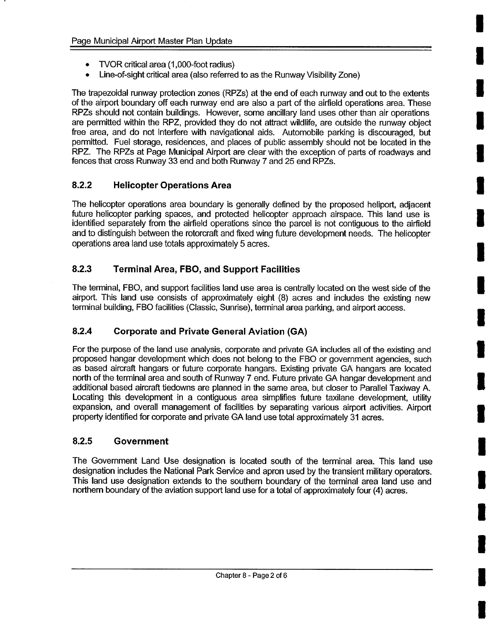- TVOR critical area (1,000-foot radius)
- Line-of-sight critical area (also referred to as the Runway Visibility Zone)

The trapezoidal runway protection zones (RPZs) at the end of each runway and out to the extents of the airport boundary off each runway end are also a part of the airfield operations area. These RPZs should not contain buildings. However, some ancillary land uses other than air operations are permitted within the RPZ, provided they do not attract wildlife, are outside the runway object free area, and do not interfere with navigational aids. Automobile parking is discouraged, but permitted. Fuel storage, residences, and places of public assembly should not be located in the RPZ. The RPZs at Page Municipal Airport are clear with the exception of parts of roadways and fences that cross Runway 33 end and both Runway 7 and 25 end RPZs.

#### **8.2.2 Helicopter Operations Area**

The helicopter operations area boundary is generally defined by the proposed heliport, adjacent future helicopter parking spaces, and protected helicopter approach airspace. This land use is identified separately from the airfield operations since the parcel is not contiguous to the airfield and to distinguish between the rotorcraft and fixed wing future development needs. The helicopter operations area land use totals approximately 5 acres.

#### **8.2.3 Terminal Area, FBO, and Support Facilities**

The terminal, FBO, and support facilities land use area is centrally located on the west side of the airport. This land use consists of approximately eight (8) acres and includes the existing new terminal building, FBO facilities (Classic, Sunrise), terminal area parking, and airport access.

### **8.2.4 Corporate and Private General Aviation (GA)**

For the purpose of the land use analysis, corporate and private GA includes all of the existing and proposed hangar development which does not belong to the FBO or government agencies, such as based aircraft hangars or future corporate hangars. Existing private GA hangars are located north of the terminal area and south of Runway 7 end. Future private GA hangar development and additional based aircraft tiedowns are planned in the same area, but closer to Parallel Taxiway A. Locating this development in a contiguous area simplifies future taxilane development, utility expansion, and overall management of facilities by separating various airport activities. Airport property identified for corporate and private GA land use total approximately 31 acres.

#### **8.2.5 Government**

The Government Land Use designation is located south of the terminal area. This land use designation includes the National Park Service and apron used by the transient military operators. This land use designation extends to the southern boundary of the terminal area land use and northern boundary of the aviation support land use for a total of approximately four (4) acres.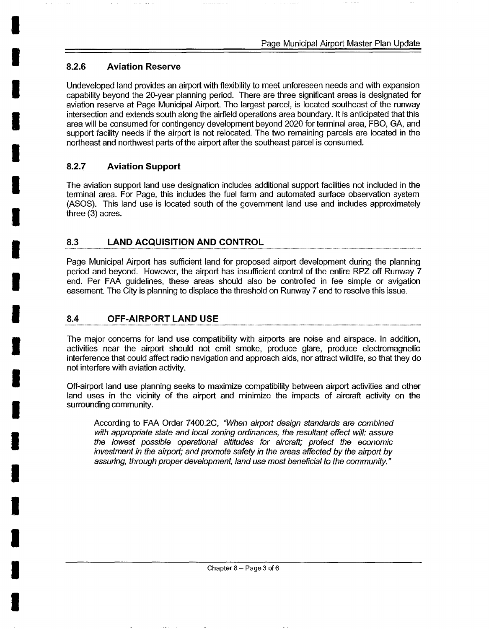#### **I 8.2.6 Aviation Reserve**

**I** 

**I** 

**I** 

**I** 

**I** 

**I** 

**I** 

**I** 

**I** 

**I** 

**I** 

**I** 

**I** 

**I** 

**I** 

**I** 

**I** 

**I** 

Undeveloped land provides an airport with flexibility to meet unforeseen needs and with expansion capability beyond the 20-year planning period. There are three significant areas is designated for aviation reserve at Page Municipal Airport. The largest parcel, is located southeast of the runway intersection and extends south along the airfield operations area boundary. It is anticipated that this area will be consumed for contingency development beyond 2020 for terminal area, FBO, GA, and support facility needs if the airport is not relocated. The two remaining parcels are located in the northeast and northwest parts of the airport after the southeast parcel is consumed.

#### **8.2.7 Aviation Support**

The aviation support land use designation includes additional support facilities not included in the terminal area. For Page, this includes the fuel farm and automated surface observation system (ASOS). This land use is located south of the govemment land use and includes approximately three (3) acres.

#### **8.3 LAND ACQUISITION AND CONTROL**

Page Municipal Airport has sufficient land for proposed airport development during the planning period and beyond. However, the airport has insufficient control of the entire RPZ off Runway 7 end. Per FAA guidelines, these areas should also be controlled in fee simple or avigation easement. The City is planning to displace the threshold on Runway 7 end to resolve this issue.

#### **8.4 OFF-AIRPORT LAND USE**

The major concerns for land use compatibility with airports are noise and airspace. In addition, activities near the airport should not emit smoke, produce glare, produce electromagnetic interference that could affect radio navigation and approach aids, nor attract wildlife, so that they do not interfere with aviation activity.

Off-airport land use planning seeks to maximize compatibility between airport activities and other land uses in the vicinity of the airport and minimize the impacts of aircraft activity on the surrounding community.

According to FAA Order 7400.2C, *"When airport design standards are combined with appropnate state and local zoning ordinances, the resultant effect will: assure the lowest possible operational altitudes for aircraft; protect the economic investment in the airport; and promote safety in the areas affected by the airport by assuring, through proper development, land use most beneficial to the community."*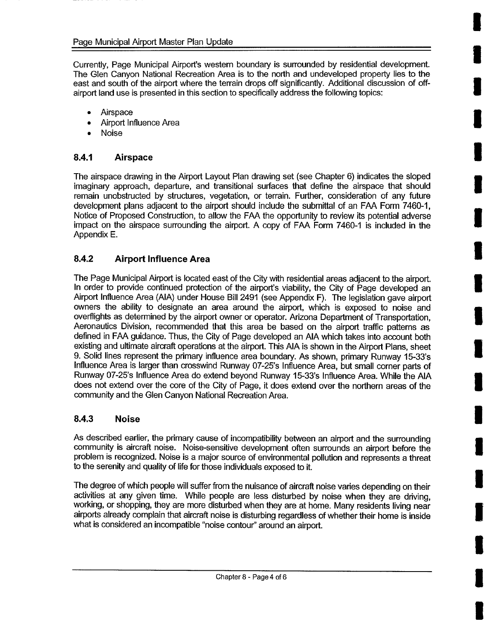Currently, Page Municipal Airport's western boundary is surrounded by residential development. The Glen Canyon National Recreation Area is to the north and undeveloped property lies to the east and south of the airport where the terrain drops off significantly. Additional discussion of offairport land use is presented in this section to specifically address the following topics:

**u** 

**u** 

- Airspace
- Airport Influence Area
- Noise

#### **8.4.1 Airspace**

The airspace drawing in the Airport Layout Plan drawing set (see Chapter 6) indicates the sloped imaginary approach, departure, and transitional surfaces that define the airspace that should remain unobstructed by structures, vegetation, or terrain. Further, consideration of any future development plans adjacent to the airport should include the submittal of an FAA Form 7460-1, Notice of Proposed Construction, to allow the FAA the opportunity to review its potential adverse impact on the airspace surrounding the airport. A copy of FAA Form 7460-1 is included in the Appendix E.

#### **8.4.2 Airport Influence Area**

The Page Municipal Airport is located east of the City with residential areas adjacent to the airport. In order to provide continued protection of the airport's viability, the City of Page developed an Airport Influence Area (AIA) under House Bill 2491 (see Appendix F). The legislation gave airport owners the ability to designate an area around the airport, which is exposed to noise and overflights as determined by the airport owner or operator. Arizona Department of Transportation, Aeronautics Division, recommended that this area be based on the airport traffic patterns as defined in FAA guidance. Thus, the City of Page developed an AIA which takes into account both existing and ultimate aircraft operations at the airport. This AIA is shown in the Airport Plans, sheet 9. Solid lines represent the primary influence area boundary. As shown, primary Runway 15-33's Influence Area is larger than crosswind Runway 07-25's Influence Area, but small corner parts of Runway 07-25's Influence Area do extend beyond Runway 15-33's Influence Area. While the AIA does not extend over the core of the City of Page, it does extend over the northern areas of the community and the Glen Canyon National Recreation Area.

#### **8.4.3 Noise**

As described earlier, the primary cause of incompatibility between an airport and the surrounding community is aircraft noise. Noise-sensitive development often surrounds an airport before the problem is recognized. Noise is a major source of environmental pollution and represents a threat to the serenity and quality of life for those individuals exposed to it.

The degree of which people will suffer from the nuisance of aircraft noise varies depending on their activities at any given time. While people are less disturbed by noise when they are driving, working, or shopping, they are more disturbed when they are at home. Many residents living near airports already complain that aircraft noise is disturbing regardless of whether their home is inside what is considered an incompatible "noise contour'' around an airport.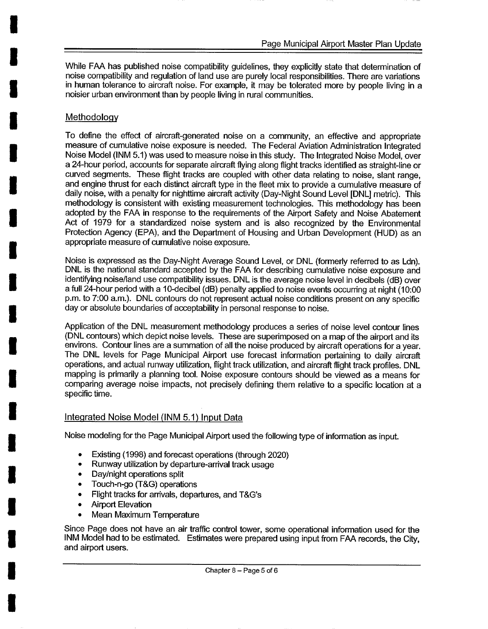While FAA has published noise compatibility guidelines, they explicitly state that determination of noise compatibility and regulation of land use are purely local responsibilities. There are variations in human tolerance to aircraft noise. For example, it may be tolerated more by people living in a noisier urban environment than by people living in rural communities.

#### **Methodology**

**I** 

**I** 

**I** 

**I** 

**I** 

**I** 

To define the effect of aircraft-generated noise on a community, an effective and appropriate measure of cumulative noise exposure is needed. The Federal Aviation Administration Integrated Noise Model (INM 5.1) was used to measure noise in this study. The Integrated Noise Model, over a 24-hour period, accounts for separate aircraft flying along flight tracks identified as straight-line or curved segments. These flight tracks are coupled with other data relating to noise, slant range, and engine thrust for each distinct aircraft type in the fleet mix to provide a cumulative measure of daily noise, with a penalty for nighttime aircraft activity (Day-Night Sound Level [DNL] metric). This methodology is consistent with existing measurement technologies. This methodology has been adopted by the FAA in response to the requirements of the Airport Safety and Noise Abatement Act of 1979 for a standardized noise system and is also recognized by the Environmental Protection Agency (EPA), and the Department of Housing and Urban Development (HUD) as an appropriate measure of cumulative noise exposure.

Noise is expressed as the Day-Night Average Sound Level, or DNL (formerly referred to as Ldn). DNL is the national standard accepted by the FAA for describing cumulative noise exposure and identifying noise/land use compatibility issues. DNL is the average noise level in decibels (dB) over a full 24-hour period with a 10-decibel (dB) penalty applied to noise events occurring at night (10:00 p.m. to 7:00 a.m.). DNL contours do not represent actual noise conditions present on any specific day or absolute boundaries of acceptability in personal response to noise.

Application of the DNL measurement methodology produces a series of noise level contour lines (DNL contours) which depict noise levels. These are superimposed on a map of the airport and its environs. Contour lines are a summation of all the noise produced by aircraft operations for a year. The DNL levels for Page Municipal Airport use forecast information pertaining to daily aircraft operations, and actual runway utilization, flight track utilization, and aircraft flight track profiles. DNL mapping is primarily a planning tool. Noise exposure contours should be viewed as a means for comparing average noise impacts, not precisely defining them relative to a specific location at a specific time.

### Integrated Noise Model (INM 5.1) Input Data

Noise modeling for the Page Municipal Airport used the following type of information as input.

- Existing (1998) and forecast operations (through 2020)
- Runway utilization by departure-arrival track usage
- Day/night operations split
- Touch-n-go (T&G) operations
- Flight tracks for arrivals, departures, and T&G's
- Airport Elevation
- Mean Maximum Temperature

Since Page does not have an air traffic control tower, some operational information used for the INM Model had to be estimated. Estimates were prepared using input from FAA records, the City, and airport users.